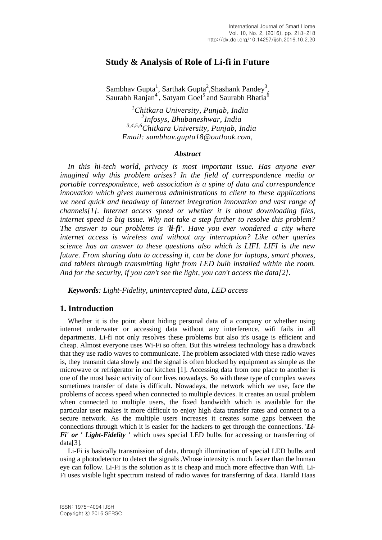# **Study & Analysis of Role of Li-fi in Future**

Sambhav Gupta<sup>1</sup>, Sarthak Gupta<sup>2</sup>, Shashank Pandey<sup>3</sup>, Saurabh Ranjan<sup>4</sup>, Satyam Goel<sup>5</sup> and Saurabh Bhatia<sup>6</sup>

 *<sup>1</sup>Chitkara University, Punjab, India 2 Infosys, Bhubaneshwar, India 3,4,5,6Chitkara University, Punjab, India Email: sambhav.gupta18@outlook.com,* 

#### *Abstract*

*In this hi-tech world, privacy is most important issue. Has anyone ever imagined why this problem arises? In the field of correspondence media or portable correspondence, web association is a spine of data and correspondence innovation which gives numerous administrations to client to these applications we need quick and headway of Internet integration innovation and vast range of channels[1]. Internet access speed or whether it is about downloading files, internet speed is big issue. Why not take a step further to resolve this problem? The answer to our problems is 'li-fi'. Have you ever wondered a city where internet access is wireless and without any interruption? Like other queries science has an answer to these questions also which is LIFI. LIFI is the new future. From sharing data to accessing it, can be done for laptops, smart phones, and tablets through transmitting light from LED bulb installed within the room. And for the security, if you can't see the light, you can't access the data[2].* 

*Keywords: Light-Fidelity, unintercepted data, LED access* 

### **1. Introduction**

Whether it is the point about hiding personal data of a company or whether using internet underwater or accessing data without any interference, wifi fails in all departments. Li-fi not only resolves these problems but also it's usage is efficient and cheap. Almost everyone uses Wi-Fi so often. But this wireless technology has a drawback that they use radio waves to communicate. The problem associated with these radio waves is, they transmit data slowly and the signal is often blocked by equipment as simple as the microwave or refrigerator in our kitchen [1]. Accessing data from one place to another is one of the most basic activity of our lives nowadays. So with these type of complex waves sometimes transfer of data is difficult. Nowadays, the network which we use, face the problems of access speed when connected to multiple devices. It creates an usual problem when connected to multiple users, the fixed bandwidth which is available for the particular user makes it more difficult to enjoy high data transfer rates and connect to a secure network. As the multiple users increases it creates some gaps between the connections through which it is easier for the hackers to get through the connections. '*Li-Fi' or ' Light-Fidelity '* which uses special LED bulbs for accessing or transferring of data[3].

Li-Fi is basically transmission of data, through illumination of special LED bulbs and using a photodetector to detect the signals .Whose intensity is much faster than the human eye can follow. Li-Fi is the solution as it is cheap and much more effective than Wifi. Li-Fi uses visible light spectrum instead of radio waves for transferring of data. Harald Haas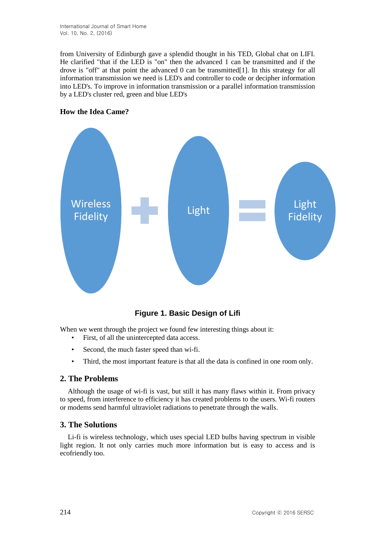from University of Edinburgh gave a splendid thought in his TED, Global chat on LIFI. He clarified "that if the LED is "on" then the advanced 1 can be transmitted and if the drove is "off" at that point the advanced 0 can be transmitted[1]. In this strategy for all information transmission we need is LED's and controller to code or decipher information into LED's. To improve in information transmission or a parallel information transmission by a LED's cluster red, green and blue LED's





**Figure 1. Basic Design of Lifi**

When we went through the project we found few interesting things about it:

- First, of all the unintercepted data access.
- Second, the much faster speed than wi-fi.
- Third, the most important feature is that all the data is confined in one room only.

### **2. The Problems**

Although the usage of wi-fi is vast, but still it has many flaws within it. From privacy to speed, from interference to efficiency it has created problems to the users. Wi-fi routers or modems send harmful ultraviolet radiations to penetrate through the walls.

### **3. The Solutions**

Li-fi is wireless technology, which uses special LED bulbs having spectrum in visible light region. It not only carries much more information but is easy to access and is ecofriendly too.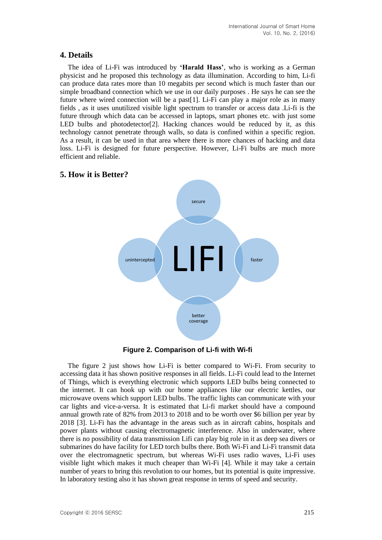### **4. Details**

The idea of Li-Fi was introduced by **'Harald Hass'**, who is working as a German physicist and he proposed this technology as data illumination. According to him, Li-fi can produce data rates more than 10 megabits per second which is much faster than our simple broadband connection which we use in our daily purposes . He says he can see the future where wired connection will be a past[1]. Li-Fi can play a major role as in many fields , as it uses unutilized visible light spectrum to transfer or access data .Li-fi is the future through which data can be accessed in laptops, smart phones etc. with just some LED bulbs and photodetector[2]. Hacking chances would be reduced by it, as this technology cannot penetrate through walls, so data is confined within a specific region. As a result, it can be used in that area where there is more chances of hacking and data loss. Li-Fi is designed for future perspective. However, Li-Fi bulbs are much more efficient and reliable.



### **5. How it is Better?**

**Figure 2. Comparison of Li-fi with Wi-fi**

The figure 2 just shows how Li-Fi is better compared to Wi-Fi. From security to accessing data it has shown positive responses in all fields. Li-Fi could lead to the Internet of Things, which is everything electronic which supports LED bulbs being connected to the internet. It can hook up with our home appliances like our electric kettles, our microwave ovens which support LED bulbs. The traffic lights can communicate with your car lights and vice-a-versa. It is estimated that Li-fi market should have a compound annual growth rate of 82% from 2013 to 2018 and to be worth over \$6 billion per year by 2018 [3]. Li-Fi has the advantage in the areas such as in aircraft cabins, hospitals and power plants without causing electromagnetic interference. Also in underwater, where there is no possibility of data transmission Lifi can play big role in it as deep sea divers or submarines do have facility for LED torch bulbs there. Both Wi-Fi and Li-Fi transmit data over the electromagnetic spectrum, but whereas Wi-Fi uses radio waves, Li-Fi uses visible light which makes it much cheaper than Wi-Fi [4]. While it may take a certain number of years to bring this revolution to our homes, but its potential is quite impressive. In laboratory testing also it has shown great response in terms of speed and security.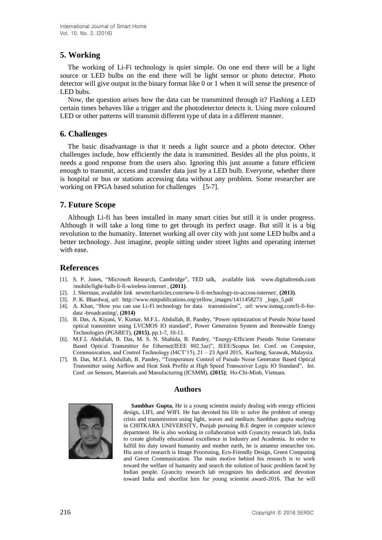# **5. Working**

The working of Li-Fi technology is quiet simple. On one end there will be a light source or LED bulbs on the end there will be light sensor or photo detector. Photo detector will give output in the binary format like 0 or 1 when it will sense the presence of LED bubs.

Now, the question arises how the data can be transmitted through it? Flashing a LED certain times behaves like a trigger and the photodetector detects it. Using more coloured LED or other patterns will transmit different type of data in a different manner.

## **6. Challenges**

The basic disadvantage is that it needs a light source and a photo detector. Other challenges include, how efficiently the data is transmitted. Besides all the plus points, it needs a good response from the users also. Ignoring this just assume a future efficient enough to transmit, access and transfer data just by a LED bulb. Everyone, whether there is hospital or bus or stations accessing data without any problem. Some researcher are working on FPGA based solution for challenges [5-7].

# **7. Future Scope**

Although Li-fi has been installed in many smart cities but still it is under progress. Although it will take a long time to get through its perfect usage. But still it is a big revolution to the humanity. Internet working all over city with just some LED bulbs and a better technology. Just imagine, people sitting under street lights and operating internet with ease.

### **References**

- [1]. S. P. Jones, "Microsoft Research, Cambridge", TED talk, available link www.digitaltrends.com /mobile/light-bulb-li-fi-wireless-internet , **(2011)**.
- [2]. J. Sherman, available link newtecharticles.com/new-li-fi-technology-to-access-internet/, **(2013)**.
- [3]. P. K. Bhardwaj, url: [http://www.mitpublications.org/yellow\\_images/1411458273 \\_logo\\_5.pdf](http://www.mitpublications.org/yellow_images/1411458273%20%20_logo_5.pdf)
- [4]. A. Khan, "How you can use Li-Fi technology for data transmission", url: [www.ismag.com/li-fi-for](http://www.ismag.com/li-fi-for-data%20-broadcasting/)[data -broadcasting/,](http://www.ismag.com/li-fi-for-data%20-broadcasting/) **(2014)**
- [5]. B. Das, A. Kiyani, V. Kumar, M.F.L. Abdullah, B. Pandey, "Power optimization of Pseudo Noise based optical transmitter using LVCMOS IO standard", Power Generation System and Renewable Energy Technologies (PGSRET), **(2015)**, pp.1-7, 10-11.
- [6]. M.F.L Abdullah, B. Das, M. S. N. Shahida, B. Pandey, "Energy-Efficient Pseudo Noise Generator Based Optical Transmitter for Ethernet(IEEE 802.3az)", IEEE/Scopus Int. Conf. on Computer, Communication, and Control Technology (I4CT'15), 21 – 23 April 2015, Kuching, Sarawak, Malaysia.
- [7]. B. Das, M.F.L Abdullah, B. Pandey, "Temperature Control of Pseudo Noise Generator Based Optical Transmitter using Airflow and Heat Sink Profile at High Speed Transceiver Logic IO Standard", Int. Conf. on Sensors, Materials and Manufacturing (ICSMM), **(2015)**; Ho-Chi-Minh, Vietnam.

### **Authors**



Sambhav Gupta, He is a young scientist mainly dealing with energy efficient design, LIFI, and WIFI. He has devoted his life to solve the problem of energy crisis and transmission using light, waves and medium. Sambhav gupta studying in CHITKARA UNIVERSITY, Punjab pursuing B.E degree in computer science department. He is also working in collaboration with Gyancity research lab, India to create globally educational excellence in Industry and Academia. In order to fulfill his duty toward humanity and mother earth, he is amateur researcher too. His area of research is Image Processing, Eco-Friendly Design, Green Computing and Green Communication. The main motive behind his research is to work toward the welfare of humanity and search the solution of basic problem faced by Indian people. Gyancity research lab recognizes his dedication and devotion toward India and shortlist him for young scientist award-2016. That he will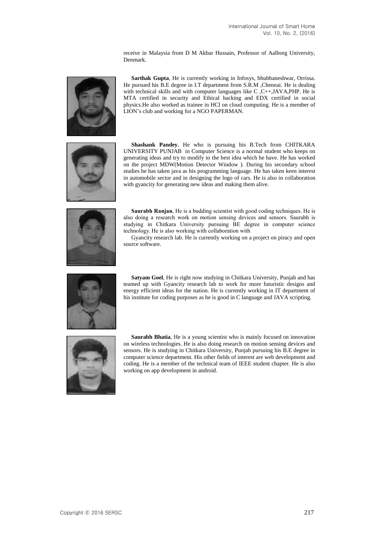receive in Malaysia from D M Akbar Hussain, Professor of Aalborg University, Denmark.



**Sarthak Gupta**, He is currently working in Infosys, bhubhaneshwar, Orrissa. He pursued his B.E degree in I.T department from S.R.M ,Chennai. He is dealing with technical skills and with computer languages like C,C++,JAVA,PHP. He is MTA certified in security and Ethical hacking and EDX certified in social physics.He also worked as trainee in HCl on cloud computing. He is a member of LION's club and working for a NGO PAPERMAN.



**Shashank Pandey**, He who is pursuing his B.Tech from CHITKARA UNIVERSITY PUNJAB in Computer Science is a normal student who keeps on generating ideas and try to modify to the best idea which he have. He has worked on the project MDW(Motion Detector Window ). During his secondary school studies he has taken java as his programming language. He has taken keen interest in automobile sector and in designing the logo of cars. He is also in collaboration with gyancity for generating new ideas and making them alive.



**Saurabh Ranjan**, He is a budding scientist with good coding techniques. He is also doing a research work on motion sensing devices and sensors. Saurabh is studying in Chitkara University pursuing BE degree in computer science technology. He is also working with collaboration with

Gyancity research lab. He is currently working on a project on piracy and open source software.



**Satyam Goel**, He is right now studying in Chitkara University, Punjab and has teamed up with Gyancity research lab to work for more futuristic designs and energy efficient ideas for the nation. He is currently working in IT department of his institute for coding purposes as he is good in C language and JAVA scripting.



**Saurabh Bhatia**, He is a young scientist who is mainly focused on innovation on wireless technologies. He is also doing research on motion sensing devices and sensors. He is studying in Chitkara University, Punjab pursuing his B.E degree in computer science department. His other fields of interest are web development and coding. He is a member of the technical team of IEEE student chapter. He is also working on app development in android.